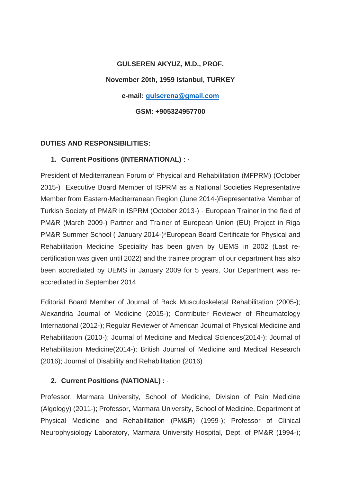# **GULSEREN AKYUZ, M.D., PROF.**

### **November 20th, 1959 Istanbul, TURKEY**

**e-mail: [gulserena@gmail.com](mailto:gulserena@gmail.com)**

**GSM: +905324957700**

## **DUTIES AND RESPONSIBILITIES:**

## **1. Current Positions (INTERNATIONAL) :** ·

President of Mediterranean Forum of Physical and Rehabilitation (MFPRM) (October 2015-) Executive Board Member of ISPRM as a National Societies Representative Member from Eastern-Mediterranean Region (June 2014-)Representative Member of Turkish Society of PM&R in ISPRM (October 2013-) · European Trainer in the field of PM&R (March 2009-) Partner and Trainer of European Union (EU) Project in Riga PM&R Summer School ( January 2014-)\*European Board Certificate for Physical and Rehabilitation Medicine Speciality has been given by UEMS in 2002 (Last recertification was given until 2022) and the trainee program of our department has also been accrediated by UEMS in January 2009 for 5 years. Our Department was reaccrediated in September 2014

Editorial Board Member of Journal of Back Musculoskeletal Rehabilitation (2005-); Alexandria Journal of Medicine (2015-); Contributer Reviewer of Rheumatology International (2012-); Regular Reviewer of American Journal of Physical Medicine and Rehabilitation (2010-); Journal of Medicine and Medical Sciences(2014-); Journal of Rehabilitation Medicine(2014-); British Journal of Medicine and Medical Research (2016); Journal of Disability and Rehabilitation (2016)

## **2. Current Positions (NATIONAL) :** ·

Professor, Marmara University, School of Medicine, Division of Pain Medicine (Algology) (2011-); Professor, Marmara University, School of Medicine, Department of Physical Medicine and Rehabilitation (PM&R) (1999-); Professor of Clinical Neurophysiology Laboratory, Marmara University Hospital, Dept. of PM&R (1994-);